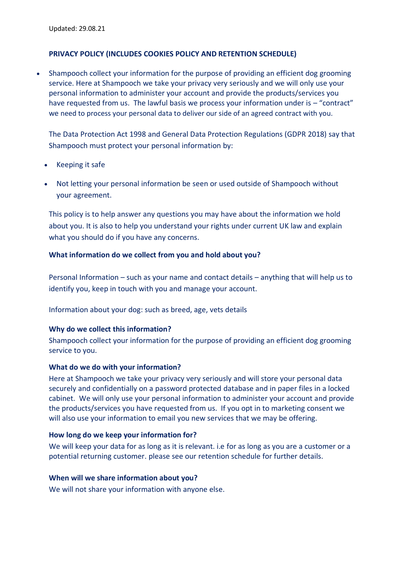# **PRIVACY POLICY (INCLUDES COOKIES POLICY AND RETENTION SCHEDULE)**

• Shampooch collect your information for the purpose of providing an efficient dog grooming service. Here at Shampooch we take your privacy very seriously and we will only use your personal information to administer your account and provide the products/services you have requested from us. The lawful basis we process your information under is – "contract" we need to process your personal data to deliver our side of an agreed contract with you.

The Data Protection Act 1998 and General Data Protection Regulations (GDPR 2018) say that Shampooch must protect your personal information by:

- Keeping it safe
- Not letting your personal information be seen or used outside of Shampooch without your agreement.

This policy is to help answer any questions you may have about the information we hold about you. It is also to help you understand your rights under current UK law and explain what you should do if you have any concerns.

## **What information do we collect from you and hold about you?**

Personal Information – such as your name and contact details – anything that will help us to identify you, keep in touch with you and manage your account.

Information about your dog: such as breed, age, vets details

#### **Why do we collect this information?**

Shampooch collect your information for the purpose of providing an efficient dog grooming service to you.

#### **What do we do with your information?**

Here at Shampooch we take your privacy very seriously and will store your personal data securely and confidentially on a password protected database and in paper files in a locked cabinet. We will only use your personal information to administer your account and provide the products/services you have requested from us. If you opt in to marketing consent we will also use your information to email you new services that we may be offering.

#### **How long do we keep your information for?**

We will keep your data for as long as it is relevant. i.e for as long as you are a customer or a potential returning customer. please see our [retention schedule](#page-1-0) for further details.

#### **When will we share information about you?**

We will not share your information with anyone else.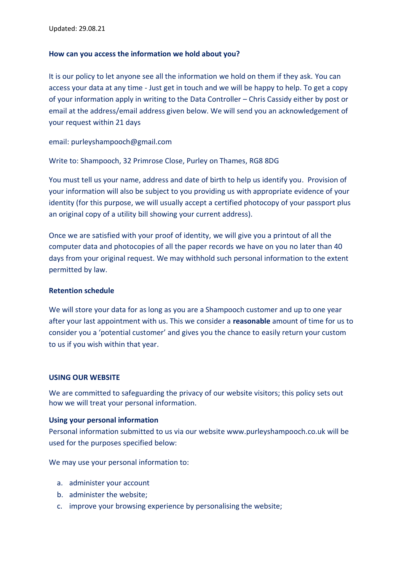## **How can you access the information we hold about you?**

It is our policy to let anyone see all the information we hold on them if they ask. You can access your data at any time - Just get in touch and we will be happy to help. To get a copy of your information apply in writing to the Data Controller – Chris Cassidy either by post or email at the address/email address given below. We will send you an acknowledgement of your request within 21 days

email[: purleyshampooch@gmail.com](mailto:purleyshampooch@gmail.com)

Write to: Shampooch, 32 Primrose Close, Purley on Thames, RG8 8DG

You must tell us your name, address and date of birth to help us identify you. Provision of your information will also be subject to you providing us with appropriate evidence of your identity (for this purpose, we will usually accept a certified photocopy of your passport plus an original copy of a utility bill showing your current address).

Once we are satisfied with your proof of identity, we will give you a printout of all the computer data and photocopies of all the paper records we have on you no later than 40 days from your original request. We may withhold such personal information to the extent permitted by law.

#### <span id="page-1-0"></span>**Retention schedule**

We will store your data for as long as you are a Shampooch customer and up to one year after your last appointment with us. This we consider a **reasonable** amount of time for us to consider you a 'potential customer' and gives you the chance to easily return your custom to us if you wish within that year.

#### **USING OUR WEBSITE**

We are committed to safeguarding the privacy of our website visitors; this policy sets out how we will treat your personal information.

#### **Using your personal information**

Personal information submitted to us via our website [www.purleyshampooch.co.uk](http://www.purleyshampooch.co.uk/) will be used for the purposes specified below:

We may use your personal information to:

- a. administer your account
- b. administer the website;
- c. improve your browsing experience by personalising the website;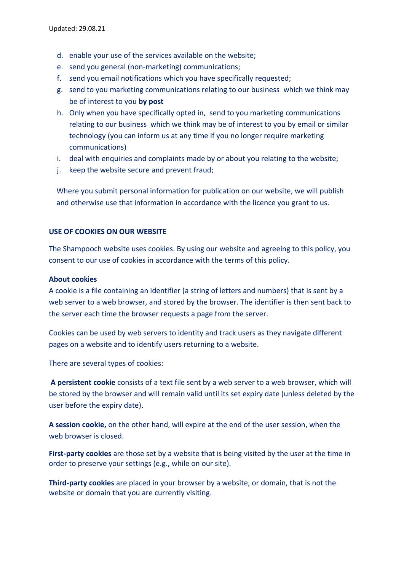- d. enable your use of the services available on the website;
- e. send you general (non-marketing) communications;
- f. send you email notifications which you have specifically requested;
- g. send to you marketing communications relating to our business which we think may be of interest to you **by post**
- h. Only when you have specifically opted in, send to you marketing communications relating to our business which we think may be of interest to you by email or similar technology (you can inform us at any time if you no longer require marketing communications)
- i. deal with enquiries and complaints made by or about you relating to the website;
- j. keep the website secure and prevent fraud;

Where you submit personal information for publication on our website, we will publish and otherwise use that information in accordance with the licence you grant to us.

# **USE OF COOKIES ON OUR WEBSITE**

The Shampooch website uses cookies. By using our website and agreeing to this policy, you consent to our use of cookies in accordance with the terms of this policy.

## **About cookies**

A cookie is a file containing an identifier (a string of letters and numbers) that is sent by a web server to a web browser, and stored by the browser. The identifier is then sent back to the server each time the browser requests a page from the server.

Cookies can be used by web servers to identity and track users as they navigate different pages on a website and to identify users returning to a website.

There are several types of cookies:

**A persistent cookie** consists of a text file sent by a web server to a web browser, which will be stored by the browser and will remain valid until its set expiry date (unless deleted by the user before the expiry date).

**A session cookie,** on the other hand, will expire at the end of the user session, when the web browser is closed.

**First-party cookies** are those set by a website that is being visited by the user at the time in order to preserve your settings (e.g., while on our site).

**Third-party cookies** are placed in your browser by a website, or domain, that is not the website or domain that you are currently visiting.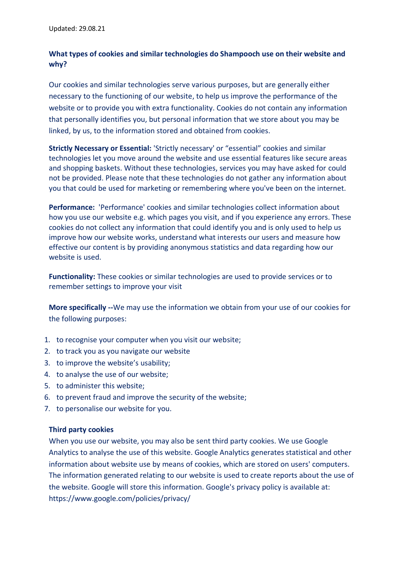# **What types of cookies and similar technologies do Shampooch use on their website and why?**

Our cookies and similar technologies serve various purposes, but are generally either necessary to the functioning of our website, to help us improve the performance of the website or to provide you with extra functionality. Cookies do not contain any information that personally identifies you, but personal information that we store about you may be linked, by us, to the information stored and obtained from cookies.

**Strictly Necessary or Essential:** 'Strictly necessary' or "essential" cookies and similar technologies let you move around the website and use essential features like secure areas and shopping baskets. Without these technologies, services you may have asked for could not be provided. Please note that these technologies do not gather any information about you that could be used for marketing or remembering where you've been on the internet.

**Performance:** 'Performance' cookies and similar technologies collect information about how you use our website e.g. which pages you visit, and if you experience any errors. These cookies do not collect any information that could identify you and is only used to help us improve how our website works, understand what interests our users and measure how effective our content is by providing anonymous statistics and data regarding how our website is used.

**Functionality:** These cookies or similar technologies are used to provide services or to remember settings to improve your visit

**More specifically --**We may use the information we obtain from your use of our cookies for the following purposes:

- 1. to recognise your computer when you visit our website;
- 2. to track you as you navigate our website
- 3. to improve the website's usability;
- 4. to analyse the use of our website;
- 5. to administer this website;
- 6. to prevent fraud and improve the security of the website;
- 7. to personalise our website for you.

# **Third party cookies**

When you use our website, you may also be sent third party cookies. We use Google Analytics to analyse the use of this website. Google Analytics generates statistical and other information about website use by means of cookies, which are stored on users' computers. The information generated relating to our website is used to create reports about the use of the website. Google will store this information. Google's privacy policy is available at: <https://www.google.com/policies/privacy/>